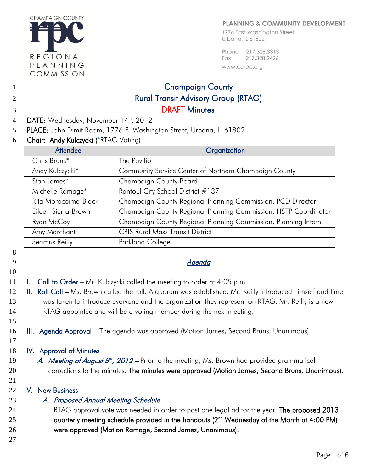

#### **PLANNING & COMMUNITY DEVELOPMENT**

1776 East Washington Street Urbana, IL 61802

Phone 217.328.3313 Fax 217.328.2426 www.ccrpc.org

# 1 Champaign County 2 Rural Transit Advisory Group (RTAG) 3 DRAFT Minutes

- 4 DATE: Wednesday, November 14<sup>th</sup>, 2012
- 5 PLACE: John Dimit Room, 1776 E. Washington Street, Urbana, IL 61802
- 6 Chair: Andy Kulczycki (\*RTAG Voting)

| <b>Attendee</b>      | Organization                                                    |  |  |  |  |
|----------------------|-----------------------------------------------------------------|--|--|--|--|
| Chris Bruns*         | The Pavilion                                                    |  |  |  |  |
| Andy Kulczycki*      | Community Service Center of Northern Champaign County           |  |  |  |  |
| Stan James*          | <b>Champaign County Board</b>                                   |  |  |  |  |
| Michelle Ramage*     | Rantoul City School District #137                               |  |  |  |  |
| Rita Morocoima-Black | Champaign County Regional Planning Commission, PCD Director     |  |  |  |  |
| Eileen Sierra-Brown  | Champaign County Regional Planning Commission, HSTP Coordinator |  |  |  |  |
| Ryan McCoy           | Champaign County Regional Planning Commission, Planning Intern  |  |  |  |  |
| Amy Marchant         | <b>CRIS Rural Mass Transit District</b>                         |  |  |  |  |
| Seamus Reilly        | Parkland College                                                |  |  |  |  |

#### 8

# 10

- 9 Agenda Agenda Agenda Agenda Agenda Agenda Agenda Agenda Agenda Agenda Agenda Agenda Agenda Agenda Agenda Agenda Agenda Agenda Agenda Agenda Agenda Agenda Agenda Agenda Agenda Agenda Agenda Agenda Agenda Agenda Agenda Age
- 11 I. Call to Order Mr. Kulczycki called the meeting to order at 4:05 p.m.
- 12 II. Roll Call Ms. Brown called the roll. A quorum was established. Mr. Reilly introduced himself and time 13 was taken to introduce everyone and the organization they represent on RTAG. Mr. Reilly is a new 14 RTAG appointee and will be a voting member during the next meeting.
- 16 **III. Agenda Approval The agenda was approved (Motion James, Second Bruns, Unanimous).**
- 17

15

#### 18 IV. Approval of Minutes

- 19 A. Meeting of August  $8<sup>th</sup>$ , 2012 Prior to the meeting, Ms. Brown had provided grammatical 20 corrections to the minutes. The minutes were approved (Motion James, Second Bruns, Unanimous).
	- 21

## 22 V. New Business

23 A. Proposed Annual Meeting Schedule

24 RTAG approval vote was needed in order to post one legal ad for the year. The proposed 2013 25 augustarily meeting schedule provided in the handouts  $(2^{nd}$  Wednesday of the Month at 4:00 PM) 26 were approved (Motion Ramage, Second James, Unanimous).

27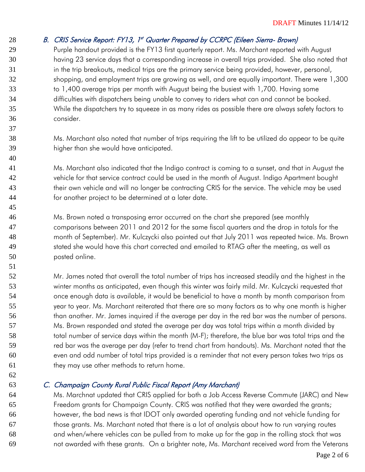## 28 B. CRIS Service Report: FY13, 1st Quarter Prepared by CCRPC (Eileen Sierra- Brown)

 Purple handout provided is the FY13 first quarterly report. Ms. Marchant reported with August having 23 service days that a corresponding increase in overall trips provided. She also noted that 31 in the trip breakouts, medical trips are the primary service being provided, however, personal, shopping, and employment trips are growing as well, and are equally important. There were 1,300 33 to 1,400 average trips per month with August being the busiest with 1,700. Having some difficulties with dispatchers being unable to convey to riders what can and cannot be booked. While the dispatchers try to squeeze in as many rides as possible there are always safety factors to consider.

 Ms. Marchant also noted that number of trips requiring the lift to be utilized do appear to be quite higher than she would have anticipated.

 Ms. Marchant also indicated that the Indigo contract is coming to a sunset, and that in August the vehicle for that service contract could be used in the month of August. Indigo Apartment bought 43 their own vehicle and will no longer be contracting CRIS for the service. The vehicle may be used for another project to be determined at a later date.

 Ms. Brown noted a transposing error occurred on the chart she prepared (see monthly comparisons between 2011 and 2012 for the same fiscal quarters and the drop in totals for the month of September). Mr. Kulczycki also pointed out that July 2011 was repeated twice. Ms. Brown 49 stated she would have this chart corrected and emailed to RTAG after the meeting, as well as posted online.

 Mr. James noted that overall the total number of trips has increased steadily and the highest in the winter months as anticipated, even though this winter was fairly mild. Mr. Kulczycki requested that once enough data is available, it would be beneficial to have a month by month comparison from year to year. Ms. Marchant reiterated that there are so many factors as to why one month is higher than another. Mr. James inquired if the average per day in the red bar was the number of persons. Ms. Brown responded and stated the average per day was total trips within a month divided by 58 total number of service days within the month (M-F); therefore, the blue bar was total trips and the red bar was the average per day (refer to trend chart from handouts). Ms. Marchant noted that the even and odd number of total trips provided is a reminder that not every person takes two trips as 61 they may use other methods to return home.

## C. Champaign County Rural Public Fiscal Report (Amy Marchant)

 Ms. Marchnat updated that CRIS applied for both a Job Access Reverse Commute (JARC) and New Freedom grants for Champaign County. CRIS was notified that they were awarded the grants; however, the bad news is that IDOT only awarded operating funding and not vehicle funding for those grants. Ms. Marchant noted that there is a lot of analysis about how to run varying routes and when/where vehicles can be pulled from to make up for the gap in the rolling stock that was not awarded with these grants. On a brighter note, Ms. Marchant received word from the Veterans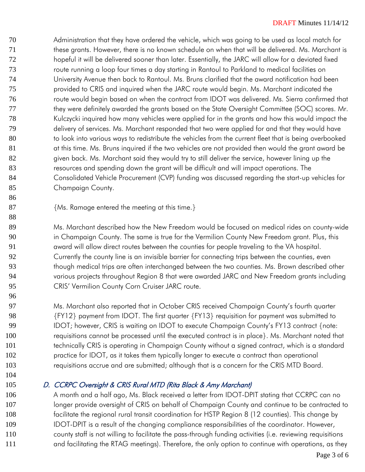Administration that they have ordered the vehicle, which was going to be used as local match for these grants. However, there is no known schedule on when that will be delivered. Ms. Marchant is hopeful it will be delivered sooner than later. Essentially, the JARC will allow for a deviated fixed route running a loop four times a day starting in Rantoul to Parkland to medical facilities on University Avenue then back to Rantoul. Ms. Bruns clarified that the award notification had been provided to CRIS and inquired when the JARC route would begin. Ms. Marchant indicated the route would begin based on when the contract from IDOT was delivered. Ms. Sierra confirmed that 77 they were definitely awarded the grants based on the State Oversight Committee (SOC) scores. Mr. Kulczycki inquired how many vehicles were applied for in the grants and how this would impact the delivery of services. Ms. Marchant responded that two were applied for and that they would have 80 to look into various ways to redistribute the vehicles from the current fleet that is being overbooked 81 at this time. Ms. Bruns inquired if the two vehicles are not provided then would the grant award be 82 status given back. Ms. Marchant said they would try to still deliver the service, however lining up the resources and spending down the grant will be difficult and will impact operations. The 84 Consolidated Vehicle Procurement (CVP) funding was discussed regarding the start-up vehicles for Champaign County.

{Ms. Ramage entered the meeting at this time.}

89 Ms. Marchant described how the New Freedom would be focused on medical rides on county-wide in Champaign County. The same is true for the Vermilion County New Freedom grant. Plus, this award will allow direct routes between the counties for people traveling to the VA hospital. Currently the county line is an invisible barrier for connecting trips between the counties, even 93 though medical trips are often interchanged between the two counties. Ms. Brown described other various projects throughout Region 8 that were awarded JARC and New Freedom grants including 95 CRIS' Vermilion County Corn Cruiser JARC route.

 Ms. Marchant also reported that in October CRIS received Champaign County's fourth quarter {FY12} payment from IDOT. The first quarter {FY13} requisition for payment was submitted to 99 IDOT; however, CRIS is waiting on IDOT to execute Champaign County's FY13 contract {note: requisitions cannot be processed until the executed contract is in place}. Ms. Marchant noted that 101 technically CRIS is operating in Champaign County without a signed contract, which is a standard practice for IDOT, as it takes them typically longer to execute a contract than operational requisitions accrue and are submitted; although that is a concern for the CRIS MTD Board.

## D. CCRPC Oversight & CRIS Rural MTD (Rita Black & Amy Marchant)

106 A month and a half ago, Ms. Black received a letter from IDOT-DPIT stating that CCRPC can no 107 longer provide oversight of CRIS on behalf of Champaign County and continue to be contracted to facilitate the regional rural transit coordination for HSTP Region 8 (12 counties). This change by IDOT-DPIT is a result of the changing compliance responsibilities of the coordinator. However, county staff is not willing to facilitate the pass-through funding activities (i.e. reviewing requisitions 111 and facilitating the RTAG meetings). Therefore, the only option to continue with operations, as they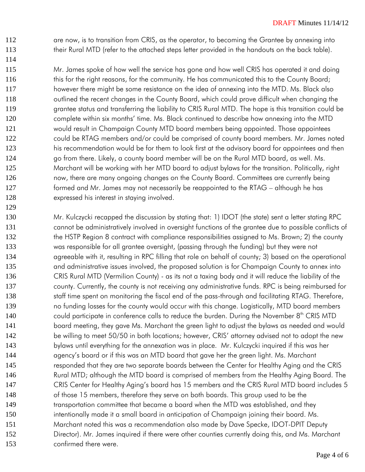112 are now, is to transition from CRIS, as the operator, to becoming the Grantee by annexing into 113 their Rural MTD (refer to the attached steps letter provided in the handouts on the back table).

114

129

115 Mr. James spoke of how well the service has gone and how well CRIS has operated it and doing 116 this for the right reasons, for the community. He has communicated this to the County Board; 117 however there might be some resistance on the idea of annexing into the MTD. Ms. Black also 118 outlined the recent changes in the County Board, which could prove difficult when changing the 119 grantee status and transferring the liability to CRIS Rural MTD. The hope is this transition could be 120 complete within six months' time. Ms. Black continued to describe how annexing into the MTD 121 would result in Champaign County MTD board members being appointed. Those appointees 122 could be RTAG members and/or could be comprised of county board members. Mr. James noted 123 his recommendation would be for them to look first at the advisory board for appointees and then 124 go from there. Likely, a county board member will be on the Rural MTD board, as well. Ms. 125 Marchant will be working with her MTD board to adjust bylaws for the transition. Politically, right 126 now, there are many ongoing changes on the County Board. Committees are currently being 127 formed and Mr. James may not necessarily be reappointed to the RTAG – although he has 128 expressed his interest in staying involved.

130 Mr. Kulczycki recapped the discussion by stating that: 1) IDOT (the state) sent a letter stating RPC 131 cannot be administratively involved in oversight functions of the grantee due to possible conflicts of 132 the HSTP Region 8 contract with compliance responsibilities assigned to Ms. Brown; 2) the county 133 was responsible for all grantee oversight, (passing through the funding) but they were not 134 agreeable with it, resulting in RPC filling that role on behalf of county; 3) based on the operational 135 and administrative issues involved, the proposed solution is for Champaign County to annex into 136 CRIS Rural MTD (Vermilion County) - as its not a taxing body and it will reduce the liability of the 137 county. Currently, the county is not receiving any administrative funds. RPC is being reimbursed for 138 staff time spent on monitoring the fiscal end of the pass-through and facilitating RTAG. Therefore, 139 no funding losses for the county would occur with this change. Logistically, MTD board members 140 could participate in conference calls to reduce the burden. During the November 8<sup>th</sup> CRIS MTD 141 board meeting, they gave Ms. Marchant the green light to adjust the bylaws as needed and would 142 be willing to meet 50/50 in both locations; however, CRIS' attorney advised not to adopt the new 143 bylaws until everything for the annexation was in place. Mr. Kulczycki inquired if this was her 144 agency's board or if this was an MTD board that gave her the green light. Ms. Marchant 145 responded that they are two separate boards between the Center for Healthy Aging and the CRIS 146 Rural MTD; although the MTD board is comprised of members from the Healthy Aging Board. The 147 CRIS Center for Healthy Aging's board has 15 members and the CRIS Rural MTD board includes 5 148 of those 15 members, therefore they serve on both boards. This group used to be the 149 transportation committee that became a board when the MTD was established, and they 150 intentionally made it a small board in anticipation of Champaign joining their board. Ms. 151 Marchant noted this was a recommendation also made by Dave Specke, IDOT-DPIT Deputy 152 Director). Mr. James inquired if there were other counties currently doing this, and Ms. Marchant 153 confirmed there were.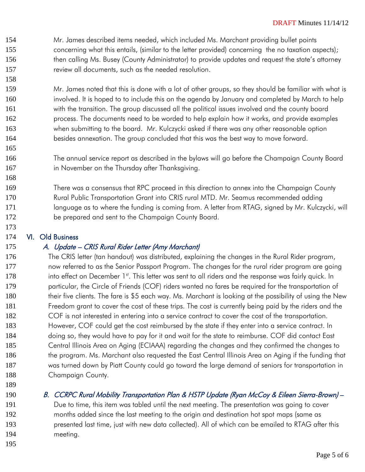- Mr. James described items needed, which included Ms. Marchant providing bullet points concerning what this entails, (similar to the letter provided) concerning the no taxation aspects); 156 then calling Ms. Busey (County Administrator) to provide updates and request the state's attorney review all documents, such as the needed resolution.
- Mr. James noted that this is done with a lot of other groups, so they should be familiar with what is involved. It is hoped to to include this on the agenda by January and completed by March to help with the transition. The group discussed all the political issues involved and the county board process. The documents need to be worded to help explain how it works, and provide examples when submitting to the board. Mr. Kulczycki asked if there was any other reasonable option besides annexation. The group concluded that this was the best way to move forward.
- The annual service report as described in the bylaws will go before the Champaign County Board 167 in November on the Thursday after Thanksgiving.
- There was a consensus that RPC proceed in this direction to annex into the Champaign County Rural Public Transportation Grant into CRIS rural MTD. Mr. Seamus recommended adding 171 language as to where the funding is coming from. A letter from RTAG, signed by Mr. Kulczycki, will be prepared and sent to the Champaign County Board.

## VI. Old Business

## A. Update – CRIS Rural Rider Letter (Amy Marchant)

- The CRIS letter (tan handout) was distributed, explaining the changes in the Rural Rider program, now referred to as the Senior Passport Program. The changes for the rural rider program are going 178 into effect on December 1<sup>st</sup>. This letter was sent to all riders and the response was fairly quick. In particular, the Circle of Friends (COF) riders wanted no fares be required for the transportation of 180 their five clients. The fare is \$5 each way. Ms. Marchant is looking at the possibility of using the New Freedom grant to cover the cost of these trips. The cost is currently being paid by the riders and the COF is not interested in entering into a service contract to cover the cost of the transportation. 183 However, COF could get the cost reimbursed by the state if they enter into a service contract. In doing so, they would have to pay for it and wait for the state to reimburse. COF did contact East Central Illinois Area on Aging (ECIAAA) regarding the changes and they confirmed the changes to 186 the program. Ms. Marchant also requested the East Central Illinois Area on Aging if the funding that was turned down by Piatt County could go toward the large demand of seniors for transportation in 188 Champaign County.
- 

## 190 B. CCRPC Rural Mobility Transportation Plan & HSTP Update (Ryan McCoy & Eileen Sierra-Brown) -

 Due to time, this item was tabled until the next meeting. The presentation was going to cover months added since the last meeting to the origin and destination hot spot maps (same as presented last time, just with new data collected). All of which can be emailed to RTAG after this meeting.

Page 5 of 6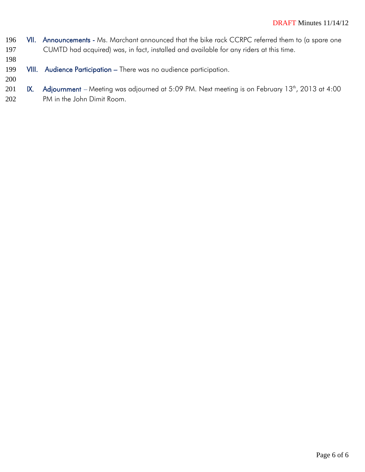- 196 VII. Announcements Ms. Marchant announced that the bike rack CCRPC referred them to (a spare one 197 CUMTD had acquired) was, in fact, installed and available for any riders at this time.
- 198
- 199 VIII. Audience Participation There was no audience participation.
- 200
- 201 K. Adjournment Meeting was adjourned at 5:09 PM. Next meeting is on February 13<sup>th</sup>, 2013 at 4:00 202 PM in the John Dimit Room.

Page 6 of 6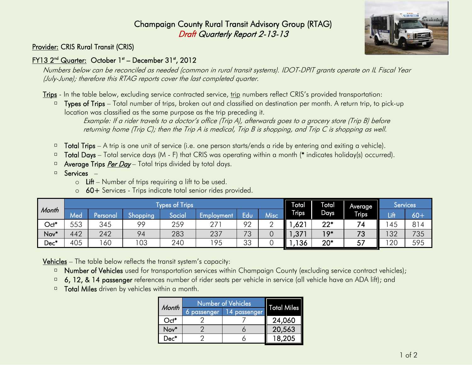# Champaign County Rural Transit Advisory Group (RTAG) Draft Quarterly Report 2-13-13



## Provider: CRIS Rural Transit (CRIS)

## <u>FY13 2<sup>nd</sup> Quarter:</u> October 1st – December 31st, 2012

Numbers below can be reconciled as needed (common in rural transit systems). IDOT-DPIT grants operate on IL Fiscal Year (July-June); therefore this RTAG reports cover the last completed quarter.

Trips - In the table below, excluding service contracted service, trip numbers reflect CRIS's provided transportation:

 $\Box$  Types of Trips – Total number of trips, broken out and classified on destination per month. A return trip, to pick-up location was classified as the same purpose as the trip preceding it.

Example: If a rider travels to a doctor's office (Trip A), afterwards goes to a grocery store (Trip B) before returning home (Trip C); then the Trip A is medical, Trip B is shopping, and Trip C is shopping as well.

- Total Trips A trip is one unit of service (i.e. one person starts/ends a ride by entering and exiting a vehicle).  $\Box$
- Total Days Total service days (M F) that CRIS was operating within a month (\* indicates holiday(s) occurred).  $\Box$
- Average Trips *Per Day* Total trips divided by total days.  $\Box$
- Services  $\Box$ 
	- $\circ$  Lift Number of trips requiring a lift to be used.
	- o 60+ Services Trips indicate total senior rides provided.

|                  |     | <b>Types of Trips</b> |          |        |                 |          |        | ⊺otal        | ŀ<br>Total        | Average      |      | <b>Services</b> |
|------------------|-----|-----------------------|----------|--------|-----------------|----------|--------|--------------|-------------------|--------------|------|-----------------|
| Month            | Med | Personal              | Shopping | Social | Employment      | Edu      | Misc   | <b>Trips</b> | Days <sup>'</sup> | <b>Trips</b> | Lift | $60+$           |
| $Oct*$           | 553 | 345                   | 99       | 259    | 27 <sup>2</sup> | 92       | ⌒<br>∸ | ,621         | $22*$             | 74           | 45   | 814             |
| Nov <sup>*</sup> | 442 | 242                   | 94       | 283    | 237             | 73       |        | ,377         | $19*$             | 73           | 32   | 735             |
| Dec*             | 405 | 60                    | 103      | 240    | 195             | ろろ<br>ںں |        | 136          | $20*$             | 57           | 20   | 595             |

Vehicles – The table below reflects the transit system's capacity:

- Number of Vehicles used for transportation services within Champaign County (excluding service contract vehicles);  $\Box$
- 6, 12, & 14 passenger references number of rider seats per vehicle in service (all vehicle have an ADA lift); and  $\hfill\square$
- Total Miles driven by vehicles within a month.  $\Box$

| <b>Month</b> | Number of Vehicles | <b>Total Miles</b> |        |
|--------------|--------------------|--------------------|--------|
|              | 6 passenger        | 14 passenger       |        |
| $Oct^*$      |                    |                    | 24,060 |
| Nov*         |                    |                    | 20,563 |
| Dec*         |                    |                    | 18,205 |